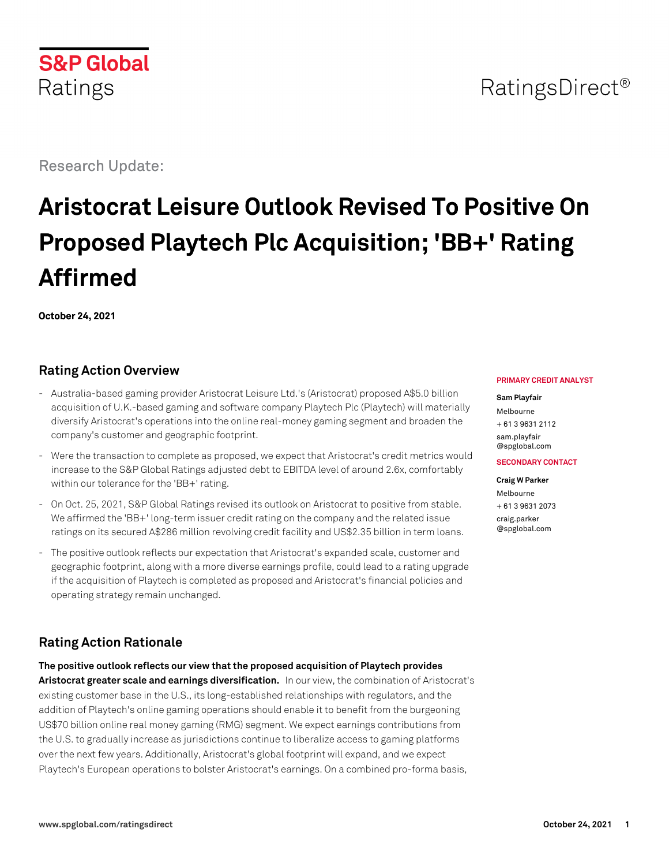# RatingsDirect<sup>®</sup>

Research Update:

**S&P Global** 

Ratings

# **Aristocrat Leisure Outlook Revised To Positive On Proposed Playtech Plc Acquisition; 'BB+' Rating Affirmed**

**October 24, 2021**

# **Rating Action Overview**

- Australia-based gaming provider Aristocrat Leisure Ltd.'s (Aristocrat) proposed A\$5.0 billion acquisition of U.K.-based gaming and software company Playtech Plc (Playtech) will materially diversify Aristocrat's operations into the online real-money gaming segment and broaden the company's customer and geographic footprint.
- Were the transaction to complete as proposed, we expect that Aristocrat's credit metrics would increase to the S&P Global Ratings adjusted debt to EBITDA level of around 2.6x, comfortably within our tolerance for the 'BB+' rating.
- On Oct. 25, 2021, S&P Global Ratings revised its outlook on Aristocrat to positive from stable. We affirmed the 'BB+' long-term issuer credit rating on the company and the related issue ratings on its secured A\$286 million revolving credit facility and US\$2.35 billion in term loans.
- The positive outlook reflects our expectation that Aristocrat's expanded scale, customer and geographic footprint, along with a more diverse earnings profile, could lead to a rating upgrade if the acquisition of Playtech is completed as proposed and Aristocrat's financial policies and operating strategy remain unchanged.

# **Rating Action Rationale**

**The positive outlook reflects our view that the proposed acquisition of Playtech provides Aristocrat greater scale and earnings diversification.** In our view, the combination of Aristocrat's existing customer base in the U.S., its long-established relationships with regulators, and the addition of Playtech's online gaming operations should enable it to benefit from the burgeoning US\$70 billion online real money gaming (RMG) segment. We expect earnings contributions from the U.S. to gradually increase as jurisdictions continue to liberalize access to gaming platforms over the next few years. Additionally, Aristocrat's global footprint will expand, and we expect Playtech's European operations to bolster Aristocrat's earnings. On a combined pro-forma basis,

#### **PRIMARY CREDIT ANALYST**

#### **Sam Playfair**

Melbourne + 61 3 9631 2112 [sam.playfair](mailto:sam.playfair@spglobal.com) [@spglobal.com](mailto:sam.playfair@spglobal.com)

#### **SECONDARY CONTACT**

**Craig W Parker** Melbourne + 61 3 9631 2073 [craig.parker](mailto:craig.parker@spglobal.com) [@spglobal.com](mailto:craig.parker@spglobal.com)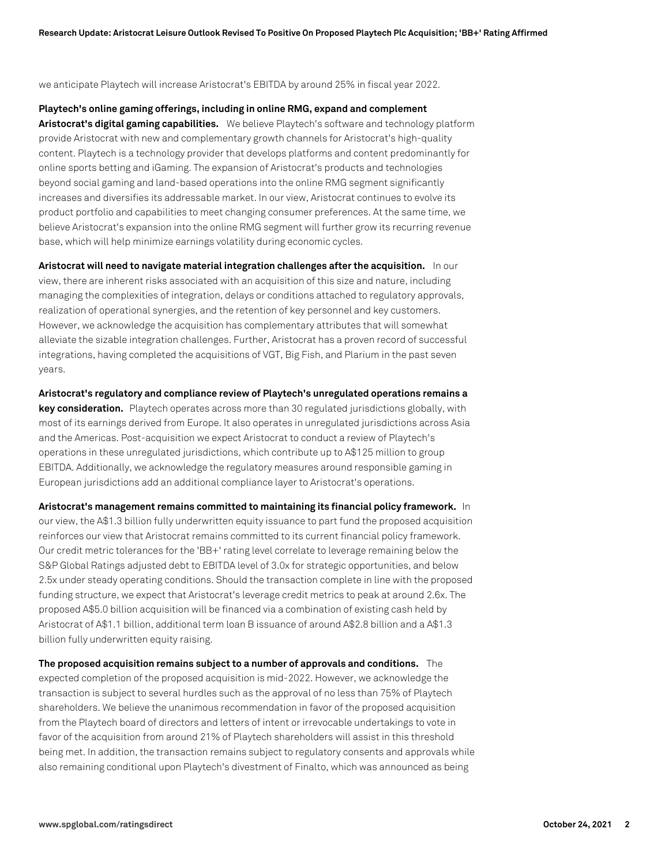we anticipate Playtech will increase Aristocrat's EBITDA by around 25% in fiscal year 2022.

**Playtech's online gaming offerings, including in online RMG, expand and complement Aristocrat's digital gaming capabilities.** We believe Playtech's software and technology platform provide Aristocrat with new and complementary growth channels for Aristocrat's high-quality content. Playtech is a technology provider that develops platforms and content predominantly for online sports betting and iGaming. The expansion of Aristocrat's products and technologies beyond social gaming and land-based operations into the online RMG segment significantly increases and diversifies its addressable market. In our view, Aristocrat continues to evolve its product portfolio and capabilities to meet changing consumer preferences. At the same time, we believe Aristocrat's expansion into the online RMG segment will further grow its recurring revenue base, which will help minimize earnings volatility during economic cycles.

**Aristocrat will need to navigate material integration challenges after the acquisition.** In our view, there are inherent risks associated with an acquisition of this size and nature, including managing the complexities of integration, delays or conditions attached to regulatory approvals, realization of operational synergies, and the retention of key personnel and key customers. However, we acknowledge the acquisition has complementary attributes that will somewhat alleviate the sizable integration challenges. Further, Aristocrat has a proven record of successful integrations, having completed the acquisitions of VGT, Big Fish, and Plarium in the past seven years.

**Aristocrat's regulatory and compliance review of Playtech's unregulated operations remains a key consideration.** Playtech operates across more than 30 regulated jurisdictions globally, with most of its earnings derived from Europe. It also operates in unregulated jurisdictions across Asia and the Americas. Post-acquisition we expect Aristocrat to conduct a review of Playtech's operations in these unregulated jurisdictions, which contribute up to A\$125 million to group EBITDA. Additionally, we acknowledge the regulatory measures around responsible gaming in European jurisdictions add an additional compliance layer to Aristocrat's operations.

**Aristocrat's management remains committed to maintaining its financial policy framework.** In our view, the A\$1.3 billion fully underwritten equity issuance to part fund the proposed acquisition reinforces our view that Aristocrat remains committed to its current financial policy framework. Our credit metric tolerances for the 'BB+' rating level correlate to leverage remaining below the S&P Global Ratings adjusted debt to EBITDA level of 3.0x for strategic opportunities, and below 2.5x under steady operating conditions. Should the transaction complete in line with the proposed funding structure, we expect that Aristocrat's leverage credit metrics to peak at around 2.6x. The proposed A\$5.0 billion acquisition will be financed via a combination of existing cash held by Aristocrat of A\$1.1 billion, additional term loan B issuance of around A\$2.8 billion and a A\$1.3 billion fully underwritten equity raising.

**The proposed acquisition remains subject to a number of approvals and conditions.** The expected completion of the proposed acquisition is mid-2022. However, we acknowledge the transaction is subject to several hurdles such as the approval of no less than 75% of Playtech shareholders. We believe the unanimous recommendation in favor of the proposed acquisition from the Playtech board of directors and letters of intent or irrevocable undertakings to vote in favor of the acquisition from around 21% of Playtech shareholders will assist in this threshold being met. In addition, the transaction remains subject to regulatory consents and approvals while also remaining conditional upon Playtech's divestment of Finalto, which was announced as being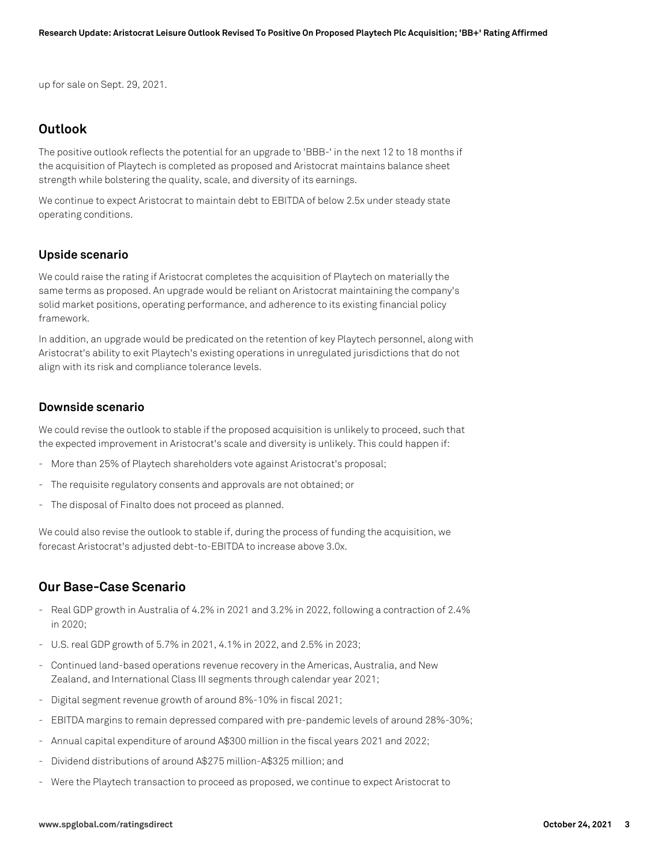up for sale on Sept. 29, 2021.

## **Outlook**

The positive outlook reflects the potential for an upgrade to 'BBB-' in the next 12 to 18 months if the acquisition of Playtech is completed as proposed and Aristocrat maintains balance sheet strength while bolstering the quality, scale, and diversity of its earnings.

We continue to expect Aristocrat to maintain debt to EBITDA of below 2.5x under steady state operating conditions.

#### **Upside scenario**

We could raise the rating if Aristocrat completes the acquisition of Playtech on materially the same terms as proposed. An upgrade would be reliant on Aristocrat maintaining the company's solid market positions, operating performance, and adherence to its existing financial policy framework.

In addition, an upgrade would be predicated on the retention of key Playtech personnel, along with Aristocrat's ability to exit Playtech's existing operations in unregulated jurisdictions that do not align with its risk and compliance tolerance levels.

#### **Downside scenario**

We could revise the outlook to stable if the proposed acquisition is unlikely to proceed, such that the expected improvement in Aristocrat's scale and diversity is unlikely. This could happen if:

- More than 25% of Playtech shareholders vote against Aristocrat's proposal;
- The requisite regulatory consents and approvals are not obtained; or
- The disposal of Finalto does not proceed as planned.

We could also revise the outlook to stable if, during the process of funding the acquisition, we forecast Aristocrat's adjusted debt-to-EBITDA to increase above 3.0x.

## **Our Base-Case Scenario**

- Real GDP growth in Australia of 4.2% in 2021 and 3.2% in 2022, following a contraction of 2.4% in 2020;
- U.S. real GDP growth of 5.7% in 2021, 4.1% in 2022, and 2.5% in 2023;
- Continued land-based operations revenue recovery in the Americas, Australia, and New Zealand, and International Class III segments through calendar year 2021;
- Digital segment revenue growth of around 8%-10% in fiscal 2021;
- EBITDA margins to remain depressed compared with pre-pandemic levels of around 28%-30%;
- Annual capital expenditure of around A\$300 million in the fiscal years 2021 and 2022;
- Dividend distributions of around A\$275 million-A\$325 million; and
- Were the Playtech transaction to proceed as proposed, we continue to expect Aristocrat to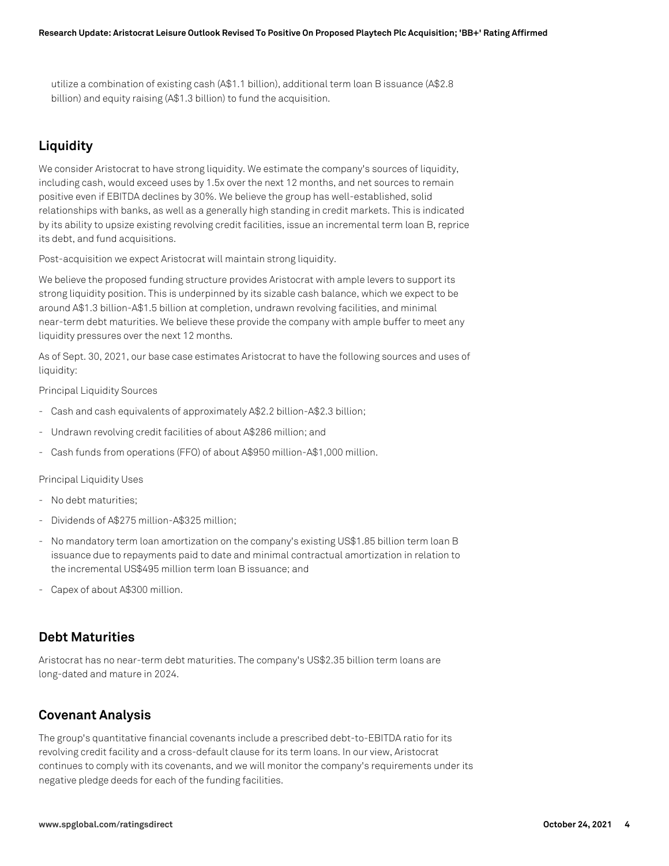utilize a combination of existing cash (A\$1.1 billion), additional term loan B issuance (A\$2.8 billion) and equity raising (A\$1.3 billion) to fund the acquisition.

# **Liquidity**

We consider Aristocrat to have strong liquidity. We estimate the company's sources of liquidity, including cash, would exceed uses by 1.5x over the next 12 months, and net sources to remain positive even if EBITDA declines by 30%. We believe the group has well-established, solid relationships with banks, as well as a generally high standing in credit markets. This is indicated by its ability to upsize existing revolving credit facilities, issue an incremental term loan B, reprice its debt, and fund acquisitions.

Post-acquisition we expect Aristocrat will maintain strong liquidity.

We believe the proposed funding structure provides Aristocrat with ample levers to support its strong liquidity position. This is underpinned by its sizable cash balance, which we expect to be around A\$1.3 billion-A\$1.5 billion at completion, undrawn revolving facilities, and minimal near-term debt maturities. We believe these provide the company with ample buffer to meet any liquidity pressures over the next 12 months.

As of Sept. 30, 2021, our base case estimates Aristocrat to have the following sources and uses of liquidity:

Principal Liquidity Sources

- Cash and cash equivalents of approximately A\$2.2 billion-A\$2.3 billion;
- Undrawn revolving credit facilities of about A\$286 million; and
- Cash funds from operations (FFO) of about A\$950 million-A\$1,000 million.

Principal Liquidity Uses

- No debt maturities;
- Dividends of A\$275 million-A\$325 million;
- No mandatory term loan amortization on the company's existing US\$1.85 billion term loan B issuance due to repayments paid to date and minimal contractual amortization in relation to the incremental US\$495 million term loan B issuance; and
- Capex of about A\$300 million.

#### **Debt Maturities**

Aristocrat has no near-term debt maturities. The company's US\$2.35 billion term loans are long-dated and mature in 2024.

## **Covenant Analysis**

The group's quantitative financial covenants include a prescribed debt-to-EBITDA ratio for its revolving credit facility and a cross-default clause for its term loans. In our view, Aristocrat continues to comply with its covenants, and we will monitor the company's requirements under its negative pledge deeds for each of the funding facilities.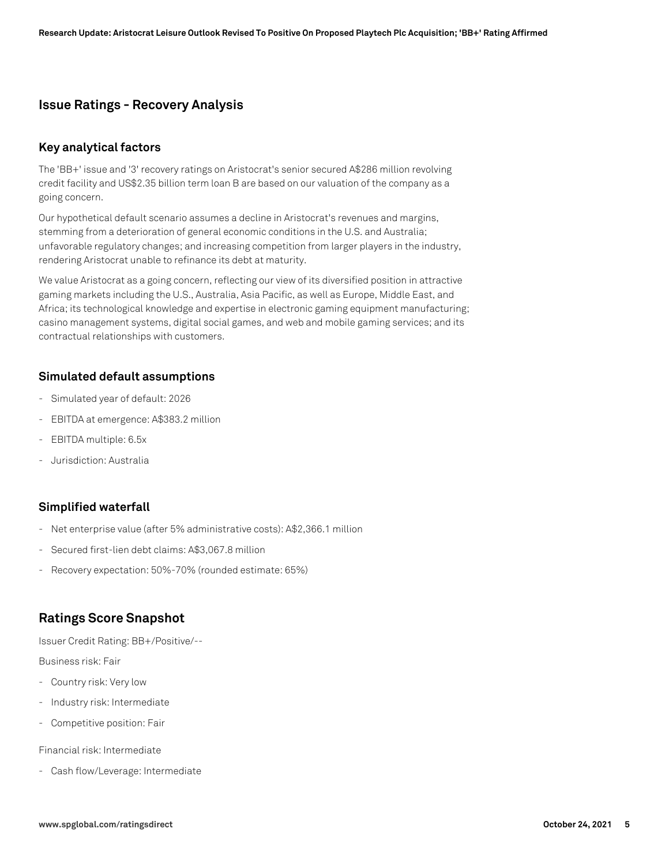## **Issue Ratings - Recovery Analysis**

#### **Key analytical factors**

The 'BB+' issue and '3' recovery ratings on Aristocrat's senior secured A\$286 million revolving credit facility and US\$2.35 billion term loan B are based on our valuation of the company as a going concern.

Our hypothetical default scenario assumes a decline in Aristocrat's revenues and margins, stemming from a deterioration of general economic conditions in the U.S. and Australia; unfavorable regulatory changes; and increasing competition from larger players in the industry, rendering Aristocrat unable to refinance its debt at maturity.

We value Aristocrat as a going concern, reflecting our view of its diversified position in attractive gaming markets including the U.S., Australia, Asia Pacific, as well as Europe, Middle East, and Africa; its technological knowledge and expertise in electronic gaming equipment manufacturing; casino management systems, digital social games, and web and mobile gaming services; and its contractual relationships with customers.

#### **Simulated default assumptions**

- Simulated year of default: 2026
- EBITDA at emergence: A\$383.2 million
- EBITDA multiple: 6.5x
- Jurisdiction: Australia

#### **Simplified waterfall**

- Net enterprise value (after 5% administrative costs): A\$2,366.1 million
- Secured first-lien debt claims: A\$3,067.8 million
- Recovery expectation: 50%-70% (rounded estimate: 65%)

## **Ratings Score Snapshot**

Issuer Credit Rating: BB+/Positive/--

#### Business risk: Fair

- Country risk: Very low
- Industry risk: Intermediate
- Competitive position: Fair

Financial risk: Intermediate

- Cash flow/Leverage: Intermediate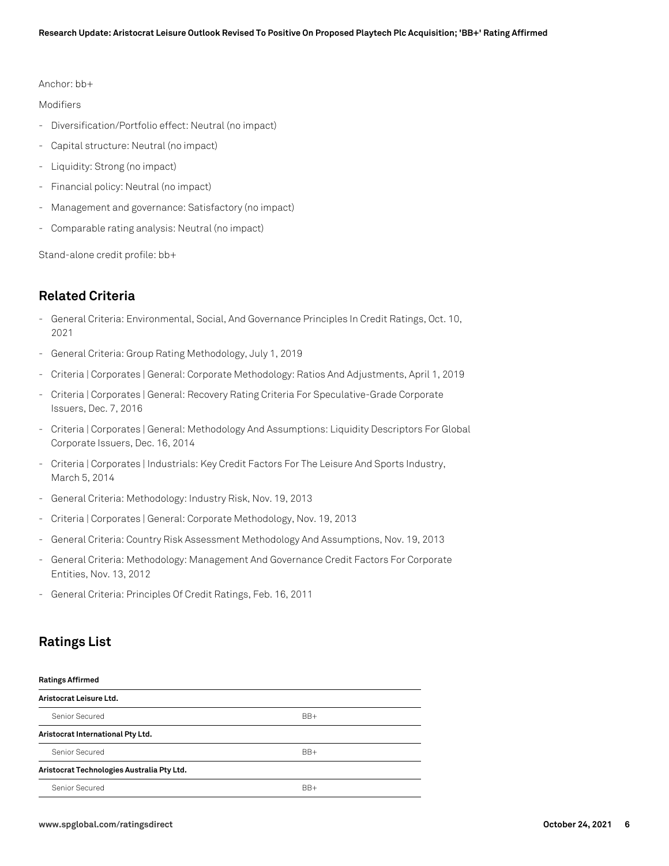Anchor: bb+

Modifiers

- Diversification/Portfolio effect: Neutral (no impact)
- Capital structure: Neutral (no impact)
- Liquidity: Strong (no impact)
- Financial policy: Neutral (no impact)
- Management and governance: Satisfactory (no impact)
- Comparable rating analysis: Neutral (no impact)

Stand-alone credit profile: bb+

# **Related Criteria**

- General Criteria: Environmental, Social, And Governance Principles In Credit Ratings, Oct. 10, 2021
- General Criteria: Group Rating Methodology, July 1, 2019
- Criteria | Corporates | General: Corporate Methodology: Ratios And Adjustments, April 1, 2019
- Criteria | Corporates | General: Recovery Rating Criteria For Speculative-Grade Corporate Issuers, Dec. 7, 2016
- Criteria | Corporates | General: Methodology And Assumptions: Liquidity Descriptors For Global Corporate Issuers, Dec. 16, 2014
- Criteria | Corporates | Industrials: Key Credit Factors For The Leisure And Sports Industry, March 5, 2014
- General Criteria: Methodology: Industry Risk, Nov. 19, 2013
- Criteria | Corporates | General: Corporate Methodology, Nov. 19, 2013
- General Criteria: Country Risk Assessment Methodology And Assumptions, Nov. 19, 2013
- General Criteria: Methodology: Management And Governance Credit Factors For Corporate Entities, Nov. 13, 2012
- General Criteria: Principles Of Credit Ratings, Feb. 16, 2011

## **Ratings List**

#### **Ratings Affirmed**

| Aristocrat Leisure Ltd.                    |       |  |
|--------------------------------------------|-------|--|
| Senior Secured                             | $BB+$ |  |
| Aristocrat International Pty Ltd.          |       |  |
| Senior Secured                             | $BB+$ |  |
| Aristocrat Technologies Australia Pty Ltd. |       |  |
| Senior Secured                             | $BR+$ |  |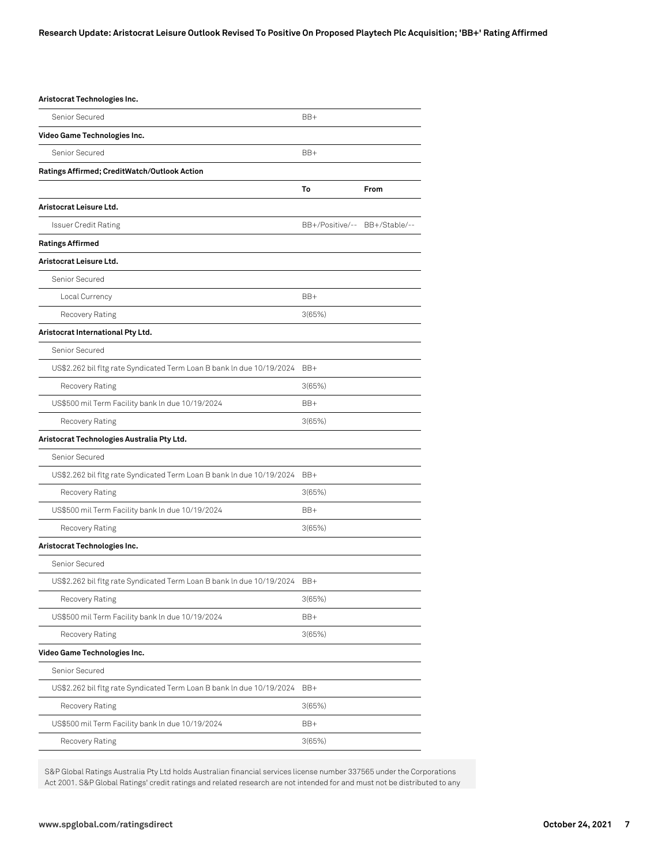| Aristocrat Technologies Inc.                                              |                               |      |
|---------------------------------------------------------------------------|-------------------------------|------|
| Senior Secured                                                            | BB+                           |      |
| Video Game Technologies Inc.                                              |                               |      |
| Senior Secured                                                            | BB+                           |      |
| Ratings Affirmed; CreditWatch/Outlook Action                              |                               |      |
|                                                                           | To                            | From |
| Aristocrat Leisure Ltd.                                                   |                               |      |
| Issuer Credit Rating                                                      | BB+/Positive/-- BB+/Stable/-- |      |
| <b>Ratings Affirmed</b>                                                   |                               |      |
| Aristocrat Leisure Ltd.                                                   |                               |      |
| Senior Secured                                                            |                               |      |
| Local Currency                                                            | BB+                           |      |
| Recovery Rating                                                           | 3(65%)                        |      |
| Aristocrat International Pty Ltd.                                         |                               |      |
| Senior Secured                                                            |                               |      |
| US\$2.262 bil fltg rate Syndicated Term Loan B bank In due 10/19/2024 BB+ |                               |      |
| Recovery Rating                                                           | 3(65%)                        |      |
| US\$500 mil Term Facility bank In due 10/19/2024                          | $BB+$                         |      |
| Recovery Rating                                                           | 3(65%)                        |      |
| Aristocrat Technologies Australia Pty Ltd.                                |                               |      |
| Senior Secured                                                            |                               |      |
| US\$2.262 bil fltg rate Syndicated Term Loan B bank In due 10/19/2024     | BB+                           |      |
| Recovery Rating                                                           | 3(65%)                        |      |
| US\$500 mil Term Facility bank In due 10/19/2024                          | BB+                           |      |
| Recovery Rating                                                           | 3(65%)                        |      |
| Aristocrat Technologies Inc.                                              |                               |      |
| Senior Secured                                                            |                               |      |
| US\$2.262 bil fltg rate Syndicated Term Loan B bank In due 10/19/2024     | BB+                           |      |
| Recovery Rating                                                           | 3(65%)                        |      |
| US\$500 mil Term Facility bank In due 10/19/2024                          | BB+                           |      |
| Recovery Rating                                                           | 3(65%)                        |      |
| Video Game Technologies Inc.                                              |                               |      |
| Senior Secured                                                            |                               |      |
| US\$2.262 bil fltg rate Syndicated Term Loan B bank In due 10/19/2024     | BB+                           |      |
| Recovery Rating                                                           | 3(65%)                        |      |
| US\$500 mil Term Facility bank In due 10/19/2024                          | BB+                           |      |
| Recovery Rating                                                           | 3(65%)                        |      |

S&P Global Ratings Australia Pty Ltd holds Australian financial services license number 337565 under the Corporations Act 2001. S&P Global Ratings' credit ratings and related research are not intended for and must not be distributed to any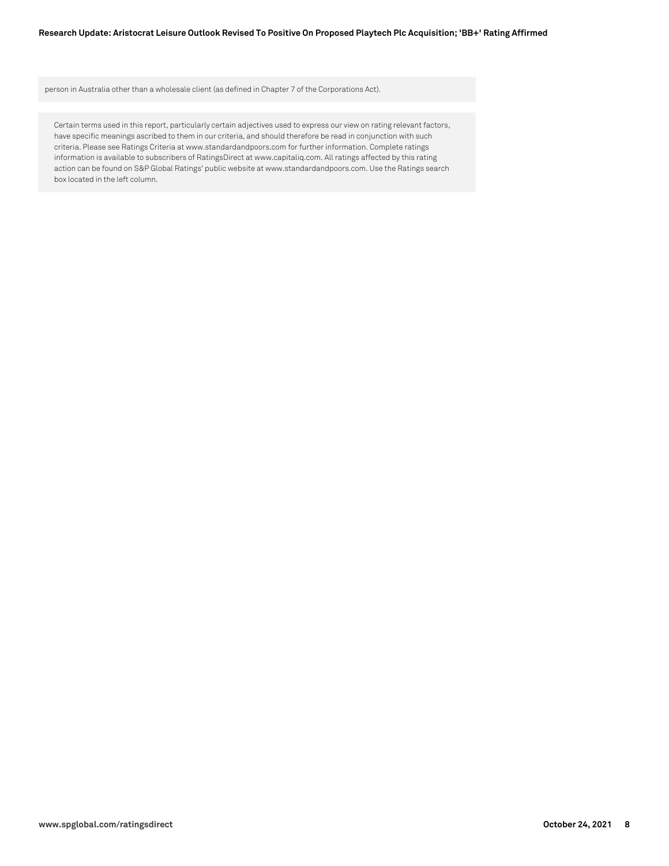person in Australia other than a wholesale client (as defined in Chapter 7 of the Corporations Act).

Certain terms used in this report, particularly certain adjectives used to express our view on rating relevant factors, have specific meanings ascribed to them in our criteria, and should therefore be read in conjunction with such criteria. Please see Ratings Criteria at www.standardandpoors.com for further information. Complete ratings information is available to subscribers of RatingsDirect at www.capitaliq.com. All ratings affected by this rating action can be found on S&P Global Ratings' public website at www.standardandpoors.com. Use the Ratings search box located in the left column.